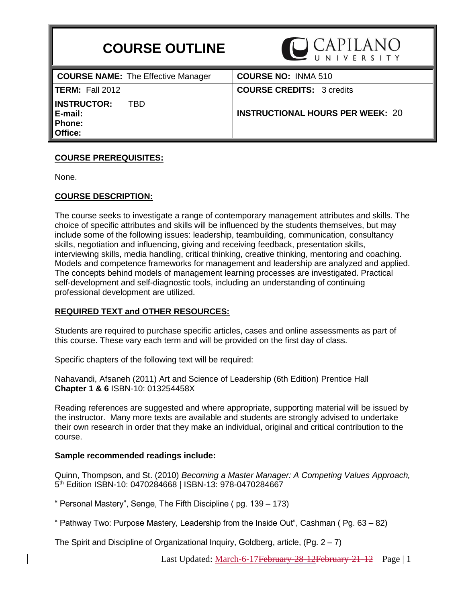# **COURSE OUTLINE**



| <b>COURSE NAME:</b> The Effective Manager                        | <b>COURSE NO: INMA 510</b>              |
|------------------------------------------------------------------|-----------------------------------------|
| <b>ITERM:</b> Fall 2012                                          | <b>COURSE CREDITS: 3 credits</b>        |
| <b>INSTRUCTOR:</b><br>TBD<br>E-mail:<br><b>Phone:</b><br>Office: | <b>INSTRUCTIONAL HOURS PER WEEK: 20</b> |

## **COURSE PREREQUISITES:**

None.

#### **COURSE DESCRIPTION:**

The course seeks to investigate a range of contemporary management attributes and skills. The choice of specific attributes and skills will be influenced by the students themselves, but may include some of the following issues: leadership, teambuilding, communication, consultancy skills, negotiation and influencing, giving and receiving feedback, presentation skills, interviewing skills, media handling, critical thinking, creative thinking, mentoring and coaching. Models and competence frameworks for management and leadership are analyzed and applied. The concepts behind models of management learning processes are investigated. Practical self-development and self-diagnostic tools, including an understanding of continuing professional development are utilized.

## **REQUIRED TEXT and OTHER RESOURCES:**

Students are required to purchase specific articles, cases and online assessments as part of this course. These vary each term and will be provided on the first day of class.

Specific chapters of the following text will be required:

[Nahavandi,](http://www.amazon.com/Afsaneh-Nahavandi/e/B001H6UEMK/ref=ntt_athr_dp_pel_1) Afsaneh (2011) Art and Science of Leadership (6th Edition) Prentice Hall **Chapter 1 & 6** ISBN-10: 013254458X

Reading references are suggested and where appropriate, supporting material will be issued by the instructor. Many more texts are available and students are strongly advised to undertake their own research in order that they make an individual, original and critical contribution to the course.

#### **Sample recommended readings include:**

[Quinn,](http://www.amazon.com/s/ref=ntt_athr_dp_sr_1?_encoding=UTF8&sort=relevancerank&search-alias=books&ie=UTF8&field-author=Robert%20E.%20Quinn) Thompson, and St. (2010) *Becoming a Master Manager: A Competing Values Approach,*  5 th Edition ISBN-10: 0470284668 | ISBN-13: 978-0470284667

" Personal Mastery", Senge, The Fifth Discipline ( pg. 139 – 173)

" Pathway Two: Purpose Mastery, Leadership from the Inside Out", Cashman ( Pg. 63 – 82)

The Spirit and Discipline of Organizational Inquiry, Goldberg, article, (Pg. 2 – 7)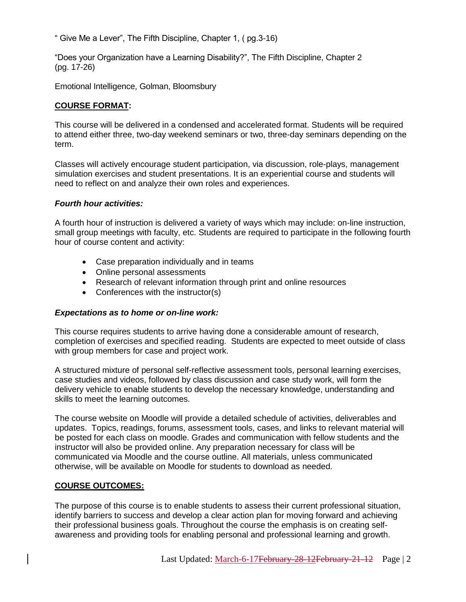" Give Me a Lever", The Fifth Discipline, Chapter 1, ( pg.3-16)

"Does your Organization have a Learning Disability?", The Fifth Discipline, Chapter 2 (pg. 17-26)

Emotional Intelligence, Golman, Bloomsbury

# **COURSE FORMAT:**

This course will be delivered in a condensed and accelerated format. Students will be required to attend either three, two-day weekend seminars or two, three-day seminars depending on the term.

Classes will actively encourage student participation, via discussion, role-plays, management simulation exercises and student presentations. It is an experiential course and students will need to reflect on and analyze their own roles and experiences.

# *Fourth hour activities:*

A fourth hour of instruction is delivered a variety of ways which may include: on-line instruction, small group meetings with faculty, etc. Students are required to participate in the following fourth hour of course content and activity:

- Case preparation individually and in teams
- Online personal assessments
- Research of relevant information through print and online resources
- Conferences with the instructor(s)

## *Expectations as to home or on-line work:*

This course requires students to arrive having done a considerable amount of research, completion of exercises and specified reading. Students are expected to meet outside of class with group members for case and project work.

A structured mixture of personal self-reflective assessment tools, personal learning exercises, case studies and videos, followed by class discussion and case study work, will form the delivery vehicle to enable students to develop the necessary knowledge, understanding and skills to meet the learning outcomes.

The course website on Moodle will provide a detailed schedule of activities, deliverables and updates. Topics, readings, forums, assessment tools, cases, and links to relevant material will be posted for each class on moodle. Grades and communication with fellow students and the instructor will also be provided online. Any preparation necessary for class will be communicated via Moodle and the course outline. All materials, unless communicated otherwise, will be available on Moodle for students to download as needed.

# **COURSE OUTCOMES:**

The purpose of this course is to enable students to assess their current professional situation, identify barriers to success and develop a clear action plan for moving forward and achieving their professional business goals. Throughout the course the emphasis is on creating selfawareness and providing tools for enabling personal and professional learning and growth.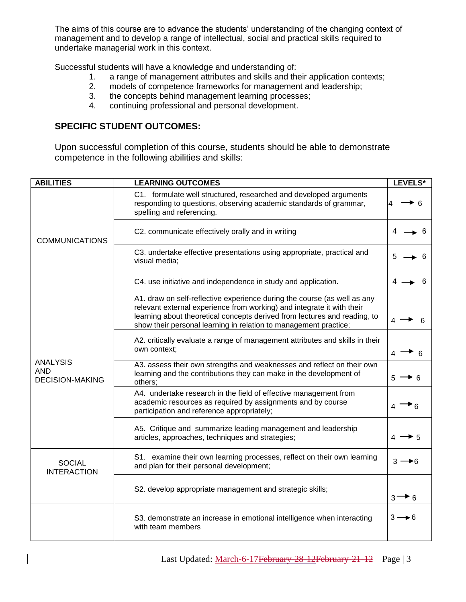The aims of this course are to advance the students' understanding of the changing context of management and to develop a range of intellectual, social and practical skills required to undertake managerial work in this context.

Successful students will have a knowledge and understanding of:

- 1. a range of management attributes and skills and their application contexts;
- 2. models of competence frameworks for management and leadership;
- 3. the concepts behind management learning processes;
- 4. continuing professional and personal development.

# **SPECIFIC STUDENT OUTCOMES:**

Upon successful completion of this course, students should be able to demonstrate competence in the following abilities and skills:

| <b>ABILITIES</b>                                        | <b>LEARNING OUTCOMES</b>                                                                                                                                                                                                                                                                            |                   |  |  |  |
|---------------------------------------------------------|-----------------------------------------------------------------------------------------------------------------------------------------------------------------------------------------------------------------------------------------------------------------------------------------------------|-------------------|--|--|--|
|                                                         | C1. formulate well structured, researched and developed arguments<br>responding to questions, observing academic standards of grammar,<br>spelling and referencing.                                                                                                                                 |                   |  |  |  |
| <b>COMMUNICATIONS</b>                                   | C2. communicate effectively orally and in writing                                                                                                                                                                                                                                                   |                   |  |  |  |
|                                                         | C3. undertake effective presentations using appropriate, practical and<br>visual media;                                                                                                                                                                                                             |                   |  |  |  |
|                                                         | C4. use initiative and independence in study and application.                                                                                                                                                                                                                                       |                   |  |  |  |
| <b>ANALYSIS</b><br><b>AND</b><br><b>DECISION-MAKING</b> | A1. draw on self-reflective experience during the course (as well as any<br>relevant external experience from working) and integrate it with their<br>learning about theoretical concepts derived from lectures and reading, to<br>show their personal learning in relation to management practice; |                   |  |  |  |
|                                                         | A2. critically evaluate a range of management attributes and skills in their<br>own context;                                                                                                                                                                                                        |                   |  |  |  |
|                                                         | A3. assess their own strengths and weaknesses and reflect on their own<br>learning and the contributions they can make in the development of<br>others;                                                                                                                                             |                   |  |  |  |
|                                                         | A4. undertake research in the field of effective management from<br>academic resources as required by assignments and by course<br>participation and reference appropriately;                                                                                                                       |                   |  |  |  |
|                                                         | A5. Critique and summarize leading management and leadership<br>articles, approaches, techniques and strategies;                                                                                                                                                                                    |                   |  |  |  |
| <b>SOCIAL</b><br><b>INTERACTION</b>                     | S1. examine their own learning processes, reflect on their own learning<br>and plan for their personal development;                                                                                                                                                                                 |                   |  |  |  |
|                                                         | S2. develop appropriate management and strategic skills;                                                                                                                                                                                                                                            | $3 \rightarrow 6$ |  |  |  |
|                                                         | S3. demonstrate an increase in emotional intelligence when interacting<br>with team members                                                                                                                                                                                                         | $3 \rightarrow 6$ |  |  |  |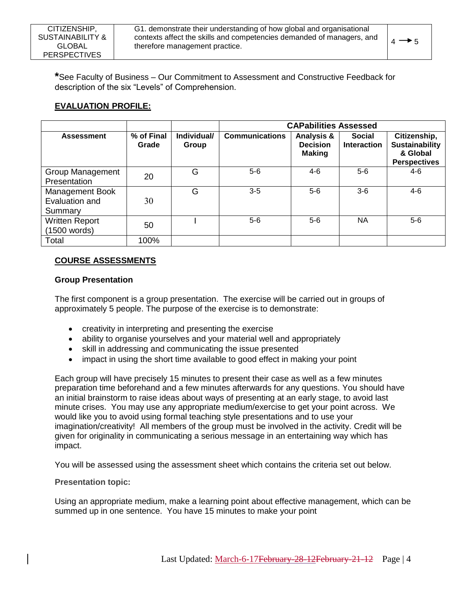**\***See Faculty of Business – Our Commitment to Assessment and Constructive Feedback for description of the six "Levels" of Comprehension.

# **EVALUATION PROFILE:**

|                                              |                     |                      | <b>CAPabilities Assessed</b> |                                                |                                     |                                                                          |
|----------------------------------------------|---------------------|----------------------|------------------------------|------------------------------------------------|-------------------------------------|--------------------------------------------------------------------------|
| <b>Assessment</b>                            | % of Final<br>Grade | Individual/<br>Group | <b>Communications</b>        | Analysis &<br><b>Decision</b><br><b>Making</b> | <b>Social</b><br><b>Interaction</b> | Citizenship,<br><b>Sustainability</b><br>& Global<br><b>Perspectives</b> |
| Group Management<br>Presentation             | 20                  | G                    | 5-6                          | 4-6                                            | $5-6$                               | $4-6$                                                                    |
| Management Book<br>Evaluation and<br>Summary | 30                  | G                    | $3-5$                        | $5-6$                                          | $3-6$                               | $4-6$                                                                    |
| <b>Written Report</b><br>(1500 words)        | 50                  |                      | $5-6$                        | $5-6$                                          | <b>NA</b>                           | $5-6$                                                                    |
| Total                                        | 100%                |                      |                              |                                                |                                     |                                                                          |

# **COURSE ASSESSMENTS**

## **Group Presentation**

The first component is a group presentation. The exercise will be carried out in groups of approximately 5 people. The purpose of the exercise is to demonstrate:

- creativity in interpreting and presenting the exercise
- ability to organise yourselves and your material well and appropriately
- skill in addressing and communicating the issue presented
- impact in using the short time available to good effect in making your point

Each group will have precisely 15 minutes to present their case as well as a few minutes preparation time beforehand and a few minutes afterwards for any questions. You should have an initial brainstorm to raise ideas about ways of presenting at an early stage, to avoid last minute crises. You may use any appropriate medium/exercise to get your point across. We would like you to avoid using formal teaching style presentations and to use your imagination/creativity! All members of the group must be involved in the activity. Credit will be given for originality in communicating a serious message in an entertaining way which has impact.

You will be assessed using the assessment sheet which contains the criteria set out below.

## **Presentation topic:**

Using an appropriate medium, make a learning point about effective management, which can be summed up in one sentence. You have 15 minutes to make your point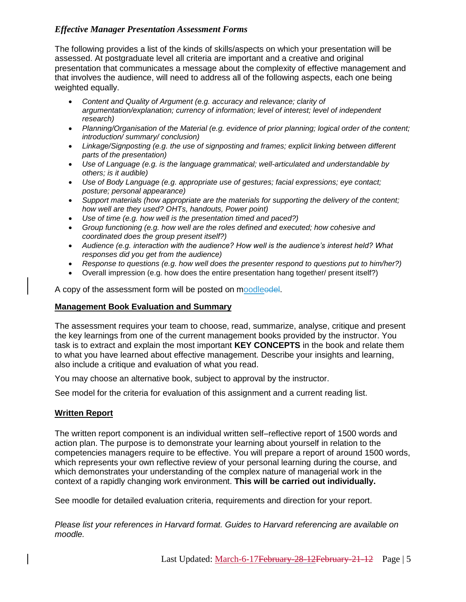# *Effective Manager Presentation Assessment Forms*

The following provides a list of the kinds of skills/aspects on which your presentation will be assessed. At postgraduate level all criteria are important and a creative and original presentation that communicates a message about the complexity of effective management and that involves the audience, will need to address all of the following aspects, each one being weighted equally.

- *Content and Quality of Argument (e.g. accuracy and relevance; clarity of argumentation/explanation; currency of information; level of interest; level of independent research)*
- *Planning/Organisation of the Material (e.g. evidence of prior planning; logical order of the content; introduction/ summary/ conclusion)*
- Linkage/Signposting (e.g. the use of signposting and frames; explicit linking between different *parts of the presentation)*
- *Use of Language (e.g. is the language grammatical; well-articulated and understandable by others; is it audible)*
- *Use of Body Language (e.g. appropriate use of gestures; facial expressions; eye contact; posture; personal appearance)*
- *Support materials (how appropriate are the materials for supporting the delivery of the content; how well are they used? OHTs, handouts, Power point)*
- *Use of time (e.g. how well is the presentation timed and paced?)*
- *Group functioning (e.g. how well are the roles defined and executed; how cohesive and coordinated does the group present itself?)*
- *Audience (e.g. interaction with the audience? How well is the audience's interest held? What responses did you get from the audience)*
- *Response to questions (e.g. how well does the presenter respond to questions put to him/her?)*
- Overall impression (e.g. how does the entire presentation hang together/ present itself?)

A copy of the assessment form will be posted on moodleedel.

## **Management Book Evaluation and Summary**

The assessment requires your team to choose, read, summarize, analyse, critique and present the key learnings from one of the current management books provided by the instructor. You task is to extract and explain the most important **KEY CONCEPTS** in the book and relate them to what you have learned about effective management. Describe your insights and learning, also include a critique and evaluation of what you read.

You may choose an alternative book, subject to approval by the instructor.

See model for the criteria for evaluation of this assignment and a current reading list.

## **Written Report**

The written report component is an individual written self–reflective report of 1500 words and action plan. The purpose is to demonstrate your learning about yourself in relation to the competencies managers require to be effective. You will prepare a report of around 1500 words, which represents your own reflective review of your personal learning during the course, and which demonstrates your understanding of the complex nature of managerial work in the context of a rapidly changing work environment. **This will be carried out individually.**

See moodle for detailed evaluation criteria, requirements and direction for your report.

*Please list your references in Harvard format. Guides to Harvard referencing are available on moodle.*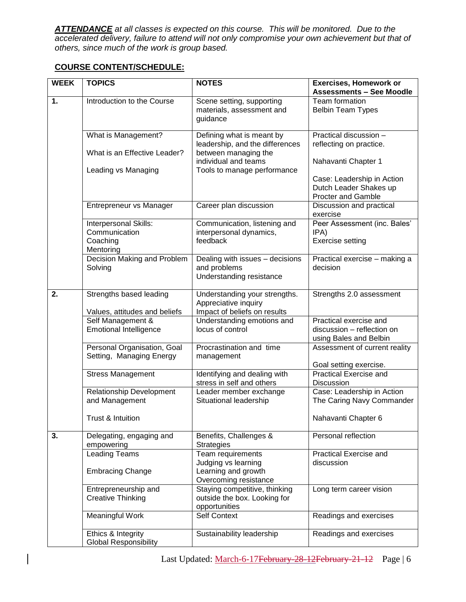*ATTENDANCE at all classes is expected on this course. This will be monitored. Due to the accelerated delivery, failure to attend will not only compromise your own achievement but that of others, since much of the work is group based.* 

# **COURSE CONTENT/SCHEDULE:**

| <b>WEEK</b>    | <b>TOPICS</b>                                                   | <b>NOTES</b>                                                                          | <b>Exercises, Homework or</b><br><b>Assessments - See Moodle</b>                  |
|----------------|-----------------------------------------------------------------|---------------------------------------------------------------------------------------|-----------------------------------------------------------------------------------|
| $\mathbf{1}$ . | Introduction to the Course                                      | Scene setting, supporting<br>materials, assessment and<br>guidance                    | Team formation<br><b>Belbin Team Types</b>                                        |
|                | What is Management?                                             | Defining what is meant by<br>leadership, and the differences                          | Practical discussion -<br>reflecting on practice.                                 |
|                | What is an Effective Leader?<br>Leading vs Managing             | between managing the<br>individual and teams<br>Tools to manage performance           | Nahavanti Chapter 1                                                               |
|                |                                                                 |                                                                                       | Case: Leadership in Action<br>Dutch Leader Shakes up<br><b>Procter and Gamble</b> |
|                | Entrepreneur vs Manager                                         | Career plan discussion                                                                | Discussion and practical<br>exercise                                              |
|                | Interpersonal Skills:<br>Communication<br>Coaching<br>Mentoring | Communication, listening and<br>interpersonal dynamics,<br>feedback                   | Peer Assessment (inc. Bales'<br>IPA)<br><b>Exercise setting</b>                   |
|                | Decision Making and Problem<br>Solving                          | Dealing with issues - decisions<br>and problems<br>Understanding resistance           | Practical exercise - making a<br>decision                                         |
| 2.             | Strengths based leading<br>Values, attitudes and beliefs        | Understanding your strengths.<br>Appreciative inquiry<br>Impact of beliefs on results | Strengths 2.0 assessment                                                          |
|                | Self Management &<br><b>Emotional Intelligence</b>              | Understanding emotions and<br>locus of control                                        | Practical exercise and<br>discussion - reflection on<br>using Bales and Belbin    |
|                | Personal Organisation, Goal<br>Setting, Managing Energy         | Procrastination and time<br>management                                                | Assessment of current reality<br>Goal setting exercise.                           |
|                | <b>Stress Management</b>                                        | Identifying and dealing with<br>stress in self and others                             | <b>Practical Exercise and</b><br>Discussion                                       |
|                | Relationship Development<br>and Management                      | Leader member exchange<br>Situational leadership                                      | Case: Leadership in Action<br>The Caring Navy Commander                           |
|                | Trust & Intuition                                               |                                                                                       | Nahavanti Chapter 6                                                               |
| 3.             | Delegating, engaging and<br>empowering                          | Benefits, Challenges &<br><b>Strategies</b>                                           | Personal reflection                                                               |
|                | <b>Leading Teams</b>                                            | Team requirements                                                                     | Practical Exercise and                                                            |
|                | <b>Embracing Change</b>                                         | Judging vs learning<br>Learning and growth<br>Overcoming resistance                   | discussion                                                                        |
|                | Entrepreneurship and<br><b>Creative Thinking</b>                | Staying competitive, thinking<br>outside the box. Looking for<br>opportunities        | Long term career vision                                                           |
|                | Meaningful Work                                                 | <b>Self Context</b>                                                                   | Readings and exercises                                                            |
|                | Ethics & Integrity<br><b>Global Responsibility</b>              | Sustainability leadership                                                             | Readings and exercises                                                            |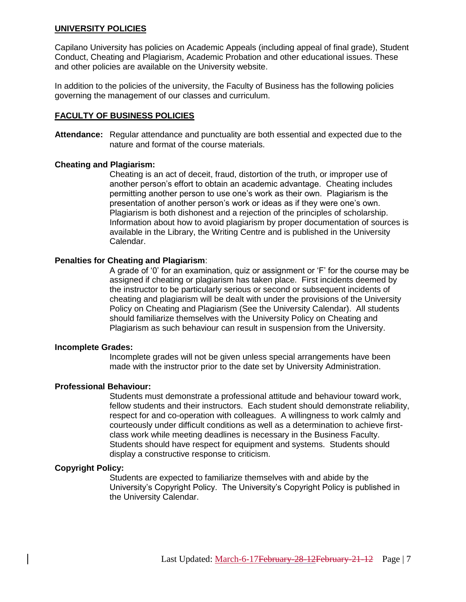#### **UNIVERSITY POLICIES**

Capilano University has policies on Academic Appeals (including appeal of final grade), Student Conduct, Cheating and Plagiarism, Academic Probation and other educational issues. These and other policies are available on the University website.

In addition to the policies of the university, the Faculty of Business has the following policies governing the management of our classes and curriculum.

#### **FACULTY OF BUSINESS POLICIES**

**Attendance:** Regular attendance and punctuality are both essential and expected due to the nature and format of the course materials.

#### **Cheating and Plagiarism:**

Cheating is an act of deceit, fraud, distortion of the truth, or improper use of another person's effort to obtain an academic advantage. Cheating includes permitting another person to use one's work as their own. Plagiarism is the presentation of another person's work or ideas as if they were one's own. Plagiarism is both dishonest and a rejection of the principles of scholarship. Information about how to avoid plagiarism by proper documentation of sources is available in the Library, the Writing Centre and is published in the University Calendar.

#### **Penalties for Cheating and Plagiarism**:

A grade of '0' for an examination, quiz or assignment or 'F' for the course may be assigned if cheating or plagiarism has taken place. First incidents deemed by the instructor to be particularly serious or second or subsequent incidents of cheating and plagiarism will be dealt with under the provisions of the University Policy on Cheating and Plagiarism (See the University Calendar). All students should familiarize themselves with the University Policy on Cheating and Plagiarism as such behaviour can result in suspension from the University.

#### **Incomplete Grades:**

Incomplete grades will not be given unless special arrangements have been made with the instructor prior to the date set by University Administration.

#### **Professional Behaviour:**

Students must demonstrate a professional attitude and behaviour toward work, fellow students and their instructors. Each student should demonstrate reliability, respect for and co-operation with colleagues. A willingness to work calmly and courteously under difficult conditions as well as a determination to achieve firstclass work while meeting deadlines is necessary in the Business Faculty. Students should have respect for equipment and systems. Students should display a constructive response to criticism.

#### **Copyright Policy:**

Students are expected to familiarize themselves with and abide by the University's Copyright Policy. The University's Copyright Policy is published in the University Calendar.